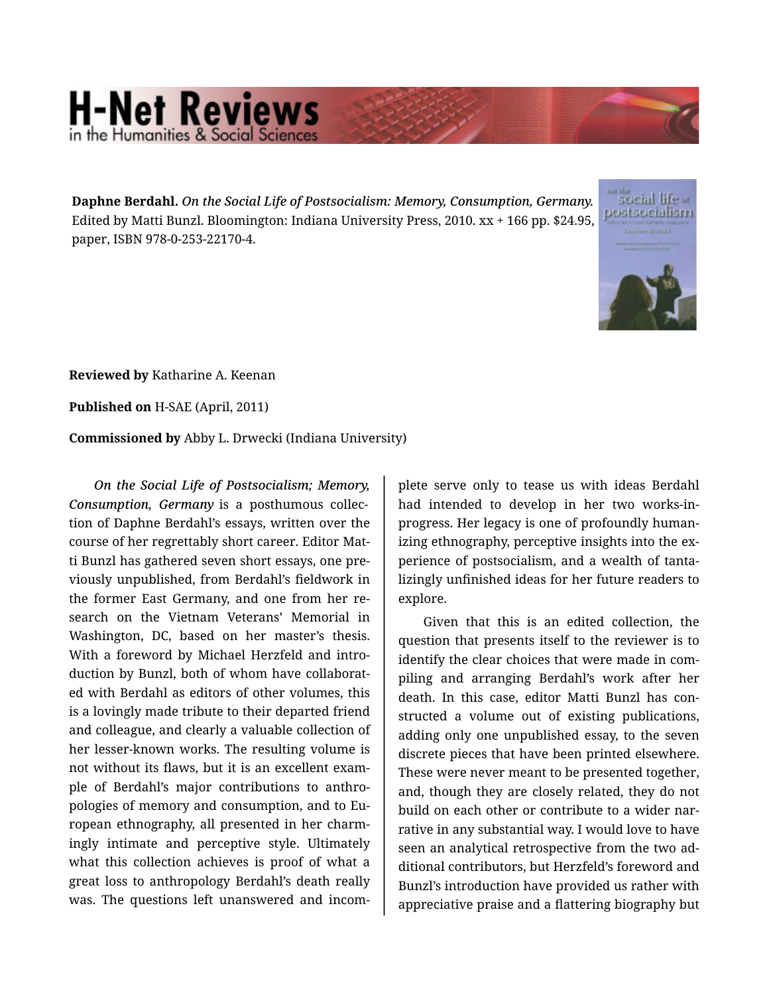## **H-Net Reviews**

**Daphne Berdahl.** *On the Social Life of Postsocialism: Memory, Consumption, Germany.* Edited by Matti Bunzl. Bloomington: Indiana University Press, 2010. xx + 166 pp. \$24.95, paper, ISBN 978-0-253-22170-4.



**Reviewed by** Katharine A. Keenan

**Published on** H-SAE (April, 2011)

**Commissioned by** Abby L. Drwecki (Indiana University)

*On the Social Life of Postsocialism; Memory, Consumption, Germany* is a posthumous collec‐ tion of Daphne Berdahl's essays, written over the course of her regrettably short career. Editor Mat‐ ti Bunzl has gathered seven short essays, one pre‐ viously unpublished, from Berdahl's fieldwork in the former East Germany, and one from her re‐ search on the Vietnam Veterans' Memorial in Washington, DC, based on her master's thesis. With a foreword by Michael Herzfeld and intro‐ duction by Bunzl, both of whom have collaborat‐ ed with Berdahl as editors of other volumes, this is a lovingly made tribute to their departed friend and colleague, and clearly a valuable collection of her lesser-known works. The resulting volume is not without its flaws, but it is an excellent exam‐ ple of Berdahl's major contributions to anthro‐ pologies of memory and consumption, and to Eu‐ ropean ethnography, all presented in her charm‐ ingly intimate and perceptive style. Ultimately what this collection achieves is proof of what a great loss to anthropology Berdahl's death really was. The questions left unanswered and incom‐

plete serve only to tease us with ideas Berdahl had intended to develop in her two works-inprogress. Her legacy is one of profoundly human‐ izing ethnography, perceptive insights into the experience of postsocialism, and a wealth of tanta‐ lizingly unfinished ideas for her future readers to explore.

Given that this is an edited collection, the question that presents itself to the reviewer is to identify the clear choices that were made in com‐ piling and arranging Berdahl's work after her death. In this case, editor Matti Bunzl has con‐ structed a volume out of existing publications, adding only one unpublished essay, to the seven discrete pieces that have been printed elsewhere. These were never meant to be presented together, and, though they are closely related, they do not build on each other or contribute to a wider narrative in any substantial way. I would love to have seen an analytical retrospective from the two ad‐ ditional contributors, but Herzfeld's foreword and Bunzl's introduction have provided us rather with appreciative praise and a flattering biography but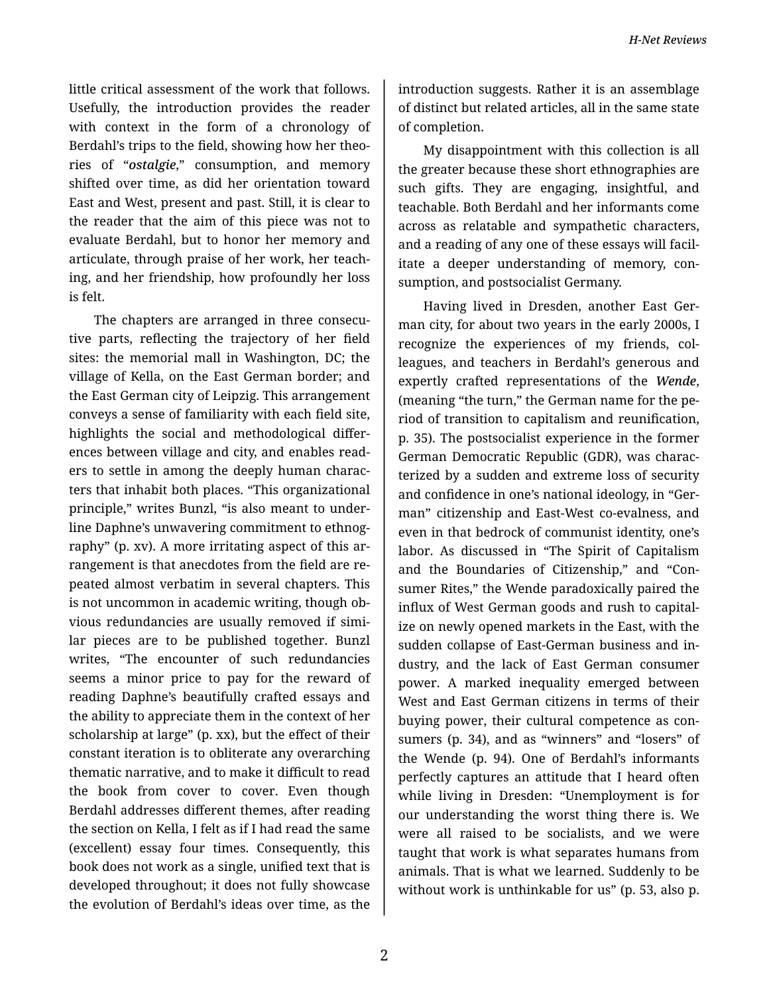little critical assessment of the work that follows. Usefully, the introduction provides the reader with context in the form of a chronology of Berdahl's trips to the field, showing how her theo‐ ries of "*ostalgie*," consumption, and memory shifted over time, as did her orientation toward East and West, present and past. Still, it is clear to the reader that the aim of this piece was not to evaluate Berdahl, but to honor her memory and articulate, through praise of her work, her teach‐ ing, and her friendship, how profoundly her loss is felt.

The chapters are arranged in three consecu‐ tive parts, reflecting the trajectory of her field sites: the memorial mall in Washington, DC; the village of Kella, on the East German border; and the East German city of Leipzig. This arrangement conveys a sense of familiarity with each field site, highlights the social and methodological differ‐ ences between village and city, and enables read‐ ers to settle in among the deeply human charac‐ ters that inhabit both places. "This organizational principle," writes Bunzl, "is also meant to under‐ line Daphne's unwavering commitment to ethnog‐ raphy" (p. xv). A more irritating aspect of this ar‐ rangement is that anecdotes from the field are re‐ peated almost verbatim in several chapters. This is not uncommon in academic writing, though ob‐ vious redundancies are usually removed if simi‐ lar pieces are to be published together. Bunzl writes, "The encounter of such redundancies seems a minor price to pay for the reward of reading Daphne's beautifully crafted essays and the ability to appreciate them in the context of her scholarship at large" (p. xx), but the effect of their constant iteration is to obliterate any overarching thematic narrative, and to make it difficult to read the book from cover to cover. Even though Berdahl addresses different themes, after reading the section on Kella, I felt as if I had read the same (excellent) essay four times. Consequently, this book does not work as a single, unified text that is developed throughout; it does not fully showcase the evolution of Berdahl's ideas over time, as the

introduction suggests. Rather it is an assemblage of distinct but related articles, all in the same state of completion.

My disappointment with this collection is all the greater because these short ethnographies are such gifts. They are engaging, insightful, and teachable. Both Berdahl and her informants come across as relatable and sympathetic characters, and a reading of any one of these essays will facil‐ itate a deeper understanding of memory, con‐ sumption, and postsocialist Germany.

Having lived in Dresden, another East Ger‐ man city, for about two years in the early 2000s, I recognize the experiences of my friends, col‐ leagues, and teachers in Berdahl's generous and expertly crafted representations of the *Wende*, (meaning "the turn," the German name for the pe‐ riod of transition to capitalism and reunification, p. 35). The postsocialist experience in the former German Democratic Republic (GDR), was charac‐ terized by a sudden and extreme loss of security and confidence in one's national ideology, in "Ger‐ man" citizenship and East-West co-evalness, and even in that bedrock of communist identity, one's labor. As discussed in "The Spirit of Capitalism and the Boundaries of Citizenship," and "Con‐ sumer Rites," the Wende paradoxically paired the influx of West German goods and rush to capital‐ ize on newly opened markets in the East, with the sudden collapse of East-German business and in‐ dustry, and the lack of East German consumer power. A marked inequality emerged between West and East German citizens in terms of their buying power, their cultural competence as con‐ sumers (p. 34), and as "winners" and "losers" of the Wende (p. 94). One of Berdahl's informants perfectly captures an attitude that I heard often while living in Dresden: "Unemployment is for our understanding the worst thing there is. We were all raised to be socialists, and we were taught that work is what separates humans from animals. That is what we learned. Suddenly to be without work is unthinkable for us" (p. 53, also p.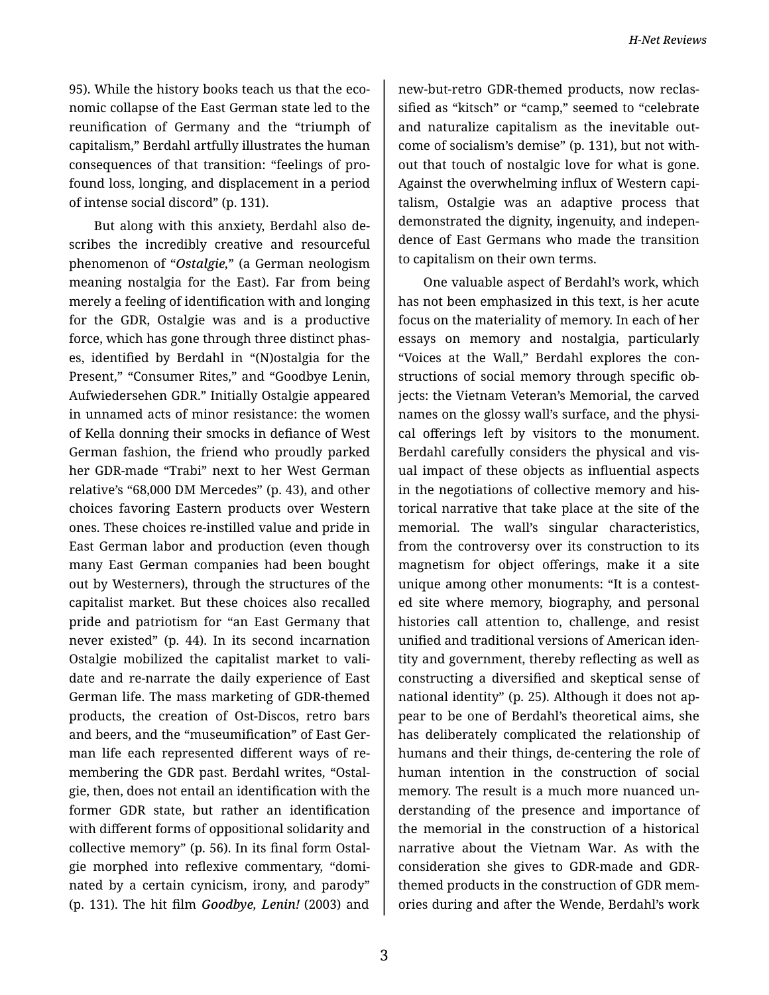95). While the history books teach us that the economic collapse of the East German state led to the reunification of Germany and the "triumph of capitalism," Berdahl artfully illustrates the human consequences of that transition: "feelings of pro‐ found loss, longing, and displacement in a period of intense social discord" (p. 131).

But along with this anxiety, Berdahl also de‐ scribes the incredibly creative and resourceful phenomenon of "*Ostalgie,*" (a German neologism meaning nostalgia for the East). Far from being merely a feeling of identification with and longing for the GDR, Ostalgie was and is a productive force, which has gone through three distinct phas‐ es, identified by Berdahl in "(N)ostalgia for the Present," "Consumer Rites," and "Goodbye Lenin, Aufwiedersehen GDR." Initially Ostalgie appeared in unnamed acts of minor resistance: the women of Kella donning their smocks in defiance of West German fashion, the friend who proudly parked her GDR-made "Trabi" next to her West German relative's "68,000 DM Mercedes" (p. 43), and other choices favoring Eastern products over Western ones. These choices re-instilled value and pride in East German labor and production (even though many East German companies had been bought out by Westerners), through the structures of the capitalist market. But these choices also recalled pride and patriotism for "an East Germany that never existed" (p. 44). In its second incarnation Ostalgie mobilized the capitalist market to vali‐ date and re-narrate the daily experience of East German life. The mass marketing of GDR-themed products, the creation of Ost-Discos, retro bars and beers, and the "museumification" of East Ger‐ man life each represented different ways of re‐ membering the GDR past. Berdahl writes, "Ostal‐ gie, then, does not entail an identification with the former GDR state, but rather an identification with different forms of oppositional solidarity and collective memory" (p. 56). In its final form Ostal‐ gie morphed into reflexive commentary, "domi‐ nated by a certain cynicism, irony, and parody" (p. 131). The hit film *Goodbye, Lenin!* (2003) and

3

new-but-retro GDR-themed products, now reclas‐ sified as "kitsch" or "camp," seemed to "celebrate and naturalize capitalism as the inevitable out‐ come of socialism's demise" (p. 131), but not with‐ out that touch of nostalgic love for what is gone. Against the overwhelming influx of Western capi‐ talism, Ostalgie was an adaptive process that demonstrated the dignity, ingenuity, and indepen‐ dence of East Germans who made the transition to capitalism on their own terms.

One valuable aspect of Berdahl's work, which has not been emphasized in this text, is her acute focus on the materiality of memory. In each of her essays on memory and nostalgia, particularly "Voices at the Wall," Berdahl explores the con‐ structions of social memory through specific ob‐ jects: the Vietnam Veteran's Memorial, the carved names on the glossy wall's surface, and the physi‐ cal offerings left by visitors to the monument. Berdahl carefully considers the physical and vis‐ ual impact of these objects as influential aspects in the negotiations of collective memory and his‐ torical narrative that take place at the site of the memorial. The wall's singular characteristics, from the controversy over its construction to its magnetism for object offerings, make it a site unique among other monuments: "It is a contest‐ ed site where memory, biography, and personal histories call attention to, challenge, and resist unified and traditional versions of American iden‐ tity and government, thereby reflecting as well as constructing a diversified and skeptical sense of national identity" (p. 25). Although it does not ap‐ pear to be one of Berdahl's theoretical aims, she has deliberately complicated the relationship of humans and their things, de-centering the role of human intention in the construction of social memory. The result is a much more nuanced un‐ derstanding of the presence and importance of the memorial in the construction of a historical narrative about the Vietnam War. As with the consideration she gives to GDR-made and GDRthemed products in the construction of GDR mem‐ ories during and after the Wende, Berdahl's work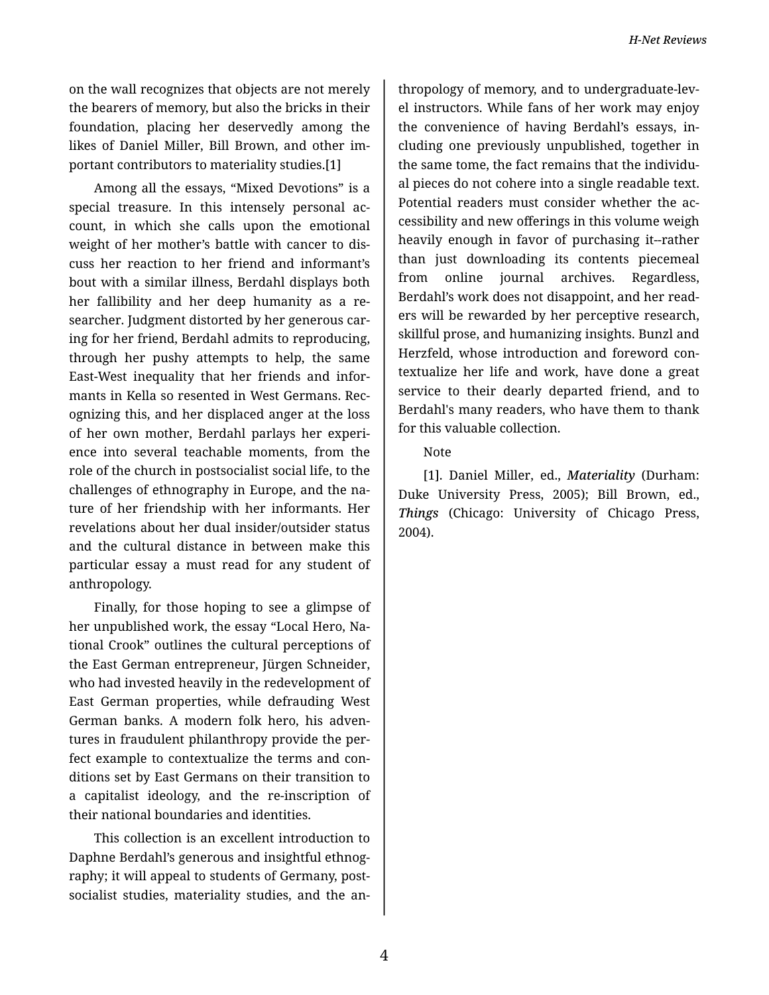*H-Net Reviews*

on the wall recognizes that objects are not merely the bearers of memory, but also the bricks in their foundation, placing her deservedly among the likes of Daniel Miller, Bill Brown, and other im‐ portant contributors to materiality studies.[1]

Among all the essays, "Mixed Devotions" is a special treasure. In this intensely personal account, in which she calls upon the emotional weight of her mother's battle with cancer to dis‐ cuss her reaction to her friend and informant's bout with a similar illness, Berdahl displays both her fallibility and her deep humanity as a re‐ searcher. Judgment distorted by her generous car‐ ing for her friend, Berdahl admits to reproducing, through her pushy attempts to help, the same East-West inequality that her friends and infor‐ mants in Kella so resented in West Germans. Rec‐ ognizing this, and her displaced anger at the loss of her own mother, Berdahl parlays her experi‐ ence into several teachable moments, from the role of the church in postsocialist social life, to the challenges of ethnography in Europe, and the na‐ ture of her friendship with her informants. Her revelations about her dual insider/outsider status and the cultural distance in between make this particular essay a must read for any student of anthropology.

Finally, for those hoping to see a glimpse of her unpublished work, the essay "Local Hero, Na‐ tional Crook" outlines the cultural perceptions of the East German entrepreneur, Jürgen Schneider, who had invested heavily in the redevelopment of East German properties, while defrauding West German banks. A modern folk hero, his adven‐ tures in fraudulent philanthropy provide the per‐ fect example to contextualize the terms and con‐ ditions set by East Germans on their transition to a capitalist ideology, and the re-inscription of their national boundaries and identities.

This collection is an excellent introduction to Daphne Berdahl's generous and insightful ethnog‐ raphy; it will appeal to students of Germany, post‐ socialist studies, materiality studies, and the an‐

thropology of memory, and to undergraduate-lev‐ el instructors. While fans of her work may enjoy the convenience of having Berdahl's essays, in‐ cluding one previously unpublished, together in the same tome, the fact remains that the individu‐ al pieces do not cohere into a single readable text. Potential readers must consider whether the ac‐ cessibility and new offerings in this volume weigh heavily enough in favor of purchasing it--rather than just downloading its contents piecemeal from online journal archives. Regardless, Berdahl's work does not disappoint, and her read‐ ers will be rewarded by her perceptive research, skillful prose, and humanizing insights. Bunzl and Herzfeld, whose introduction and foreword con‐ textualize her life and work, have done a great service to their dearly departed friend, and to Berdahl's many readers, who have them to thank for this valuable collection.

## Note

[1]. Daniel Miller, ed., *Materiality* (Durham: Duke University Press, 2005); Bill Brown, ed., *Things* (Chicago: University of Chicago Press, 2004).